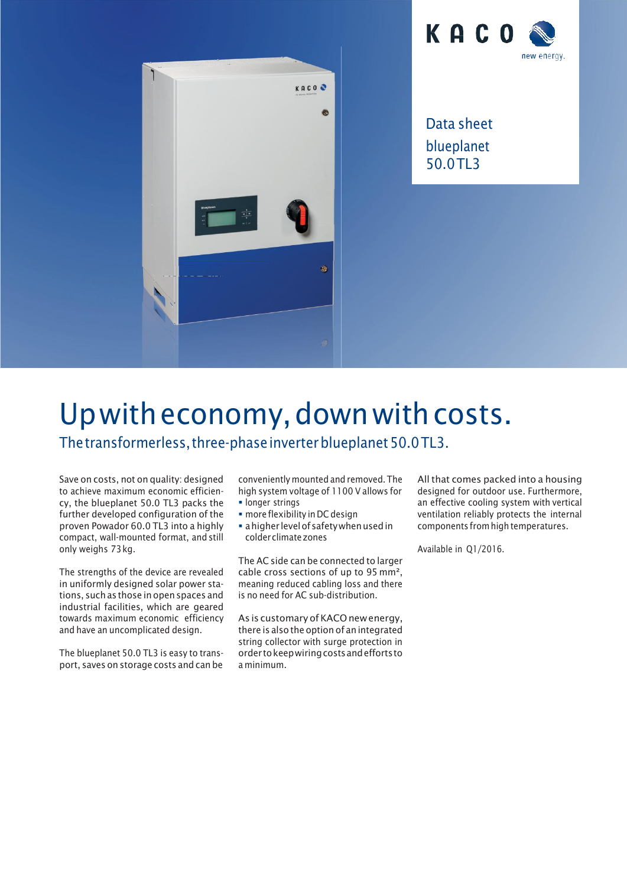



Data sheet blueplanet 50.0TL3

## Upwitheconomy,downwithcosts.

The transformerless, three-phase inverter blueplanet 50.0TL3.

Save on costs, not on quality: designed to achieve maximum economic efficiency, the blueplanet 50.0 TL3 packs the further developed configuration of the proven Powador 60.0 TL3 into a highly compact, wall-mounted format, and still only weighs 73kg.

The strengths of the device are revealed in uniformly designed solar power stations, such as those in open spaces and industrial facilities, which are geared towards maximum economic efficiency and have an uncomplicated design.

The blueplanet 50.0 TL3 is easy to transport, saves on storage costs and can be

conveniently mounted and removed. The high system voltage of 1100 V allows for **· longer strings** 

- more flexibility in DC design
- **a** higher level of safety when used in colderclimatezones

The AC side can be connected to larger cable cross sections of up to 95 mm², meaning reduced cabling loss and there is no need for AC sub-distribution.

As is customary of KACO newenergy, there is also the option of anintegrated string collector with surge protection in order tokeepwiringcostsandeffortsto a minimum.

All that comes packed into a housing designed for outdoor use. Furthermore, an effective cooling system with vertical ventilation reliably protects the internal components from high temperatures.

Available in Q1/2016.